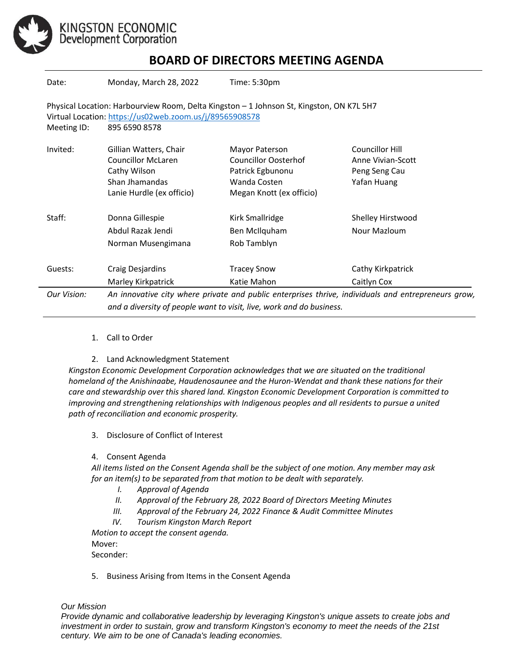

KINGSTON ECONOMIC<br>Development Corporation

# **BOARD OF DIRECTORS MEETING AGENDA**

| Date:                                                                                                                                                                               | Monday, March 28, 2022                                                                                                                                                      | Time: 5:30pm                                                                                                  |                                                                      |
|-------------------------------------------------------------------------------------------------------------------------------------------------------------------------------------|-----------------------------------------------------------------------------------------------------------------------------------------------------------------------------|---------------------------------------------------------------------------------------------------------------|----------------------------------------------------------------------|
| Physical Location: Harbourview Room, Delta Kingston - 1 Johnson St, Kingston, ON K7L 5H7<br>Virtual Location: https://us02web.zoom.us/j/89565908578<br>Meeting ID:<br>895 6590 8578 |                                                                                                                                                                             |                                                                                                               |                                                                      |
| Invited:                                                                                                                                                                            | Gillian Watters, Chair<br><b>Councillor McLaren</b><br>Cathy Wilson<br>Shan Jhamandas<br>Lanie Hurdle (ex officio)                                                          | Mayor Paterson<br><b>Councillor Oosterhof</b><br>Patrick Egbunonu<br>Wanda Costen<br>Megan Knott (ex officio) | Councillor Hill<br>Anne Vivian-Scott<br>Peng Seng Cau<br>Yafan Huang |
| Staff:                                                                                                                                                                              | Donna Gillespie<br>Abdul Razak Jendi<br>Norman Musengimana                                                                                                                  | Kirk Smallridge<br>Ben McIlquham<br>Rob Tamblyn                                                               | Shelley Hirstwood<br>Nour Mazloum                                    |
| Guests:                                                                                                                                                                             | Craig Desjardins<br>Marley Kirkpatrick                                                                                                                                      | <b>Tracey Snow</b><br>Katie Mahon                                                                             | Cathy Kirkpatrick<br>Caitlyn Cox                                     |
| Our Vision:                                                                                                                                                                         | An innovative city where private and public enterprises thrive, individuals and entrepreneurs grow,<br>and a diversity of people want to visit, live, work and do business. |                                                                                                               |                                                                      |

### 1. Call to Order

2. Land Acknowledgment Statement

*Kingston Economic Development Corporation acknowledges that we are situated on the traditional homeland of the Anishinaabe, Haudenosaunee and the Huron-Wendat and thank these nations for their care and stewardship over this shared land. Kingston Economic Development Corporation is committed to improving and strengthening relationships with Indigenous peoples and all residents to pursue a united path of reconciliation and economic prosperity.*

3. Disclosure of Conflict of Interest

#### 4. Consent Agenda

*All items listed on the Consent Agenda shall be the subject of one motion. Any member may ask for an item(s) to be separated from that motion to be dealt with separately.*

- *I. Approval of Agenda*
- *II. Approval of the February 28, 2022 Board of Directors Meeting Minutes*
- *III. Approval of the February 24, 2022 Finance & Audit Committee Minutes*
- *IV. Tourism Kingston March Report*

*Motion to accept the consent agenda.*  Mover: Seconder:

5. Business Arising from Items in the Consent Agenda

#### *Our Mission*

*Provide dynamic and collaborative leadership by leveraging Kingston's unique assets to create jobs and investment in order to sustain, grow and transform Kingston's economy to meet the needs of the 21st century. We aim to be one of Canada's leading economies.*